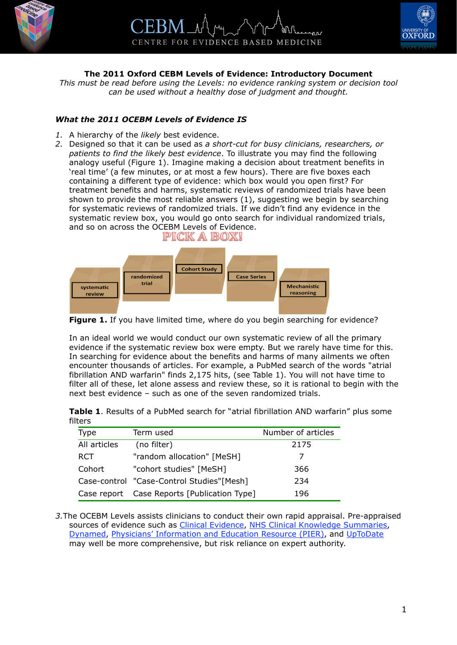



## **The 2011 Oxford CEBM Levels of Evidence: Introductory Document**

*This must be read before using the Levels: no evidence ranking system or decision tool can be used without a healthy dose of judgment and thought.*

## *What the 2011 OCEBM Levels of Evidence IS*

- *1.* A hierarchy of the *likely* best evidence.
- *2.* Designed so that it can be used as *a short-cut for busy clinicians, researchers, or patients to find the likely best evidence*. To illustrate you may find the following analogy useful (Figure 1). Imagine making a decision about treatment benefits in 'real time' (a few minutes, or at most a few hours). There are five boxes each containing a different type of evidence: which box would you open first? For treatment benefits and harms, systematic reviews of randomized trials have been shown to provide the most reliable answers ([1](#page-2-0)), suggesting we begin by searching for systematic reviews of randomized trials. If we didn't find any evidence in the systematic review box, you would go onto search for individual randomized trials, and so on across the OCEBM Levels of Evidence.



**Figure 1.** If you have limited time, where do you begin searching for evidence?

In an ideal world we would conduct our own systematic review of all the primary evidence if the systematic review box were empty. But we rarely have time for this. In searching for evidence about the benefits and harms of many ailments we often encounter thousands of articles. For example, a PubMed search of the words "atrial fibrillation AND warfarin" finds 2,175 hits, (see Table 1). You will not have time to filter all of these, let alone assess and review these, so it is rational to begin with the next best evidence – such as one of the seven randomized trials.

|         |  |  |  | <b>Table 1.</b> Results of a PubMed search for "atrial fibrillation AND warfarin" plus some |  |  |
|---------|--|--|--|---------------------------------------------------------------------------------------------|--|--|
| filters |  |  |  |                                                                                             |  |  |

| Type         | Term used                                   | Number of articles |
|--------------|---------------------------------------------|--------------------|
| All articles | (no filter)                                 | 2175               |
| <b>RCT</b>   | "random allocation" [MeSH]                  |                    |
| Cohort       | "cohort studies" [MeSH]                     | 366                |
|              | Case-control "Case-Control Studies"[Mesh]   | 234                |
|              | Case report Case Reports [Publication Type] | 196                |

*3.*The OCEBM Levels assists clinicians to conduct their own rapid appraisal. Pre-appraised sources of evidence such as Clinical Evidence, [NHS Clinical Knowledge Summaries](http://www.cks.nhs.uk), [Dynamed,](http://www.ebscohost.com/dynamed/default.php) Physicians' Information and Education Resource (PIER), and [UpToDate](http://www.uptodate.com) may well be more comprehensive, but risk reliance on expert authority.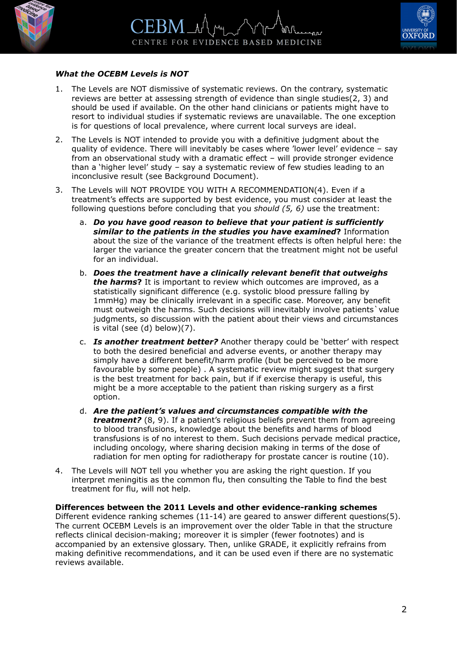



## *What the OCEBM Levels is NOT*

- 1. The Levels are NOT dismissive of systematic reviews. On the contrary, systematic reviews are better at assessing strength of evidence than single studies[\(2,](#page-2-1) [3](#page-2-2)) and should be used if available. On the other hand clinicians or patients might have to resort to individual studies if systematic reviews are unavailable. The one exception is for questions of local prevalence, where current local surveys are ideal.
- 2. The Levels is NOT intended to provide you with a definitive judgment about the quality of evidence. There will inevitably be cases where 'lower level' evidence – say from an observational study with a dramatic effect – will provide stronger evidence than a 'higher level' study – say a systematic review of few studies leading to an inconclusive result (see Background Document).
- 3. The Levels will NOT PROVIDE YOU WITH A RECOMMENDATION([4](#page-2-3)). Even if a treatment's effects are supported by best evidence, you must consider at least the following questions before concluding that you *should ([5](#page-2-4), [6\)](#page-2-5)* use the treatment:
	- a. *Do you have good reason to believe that your patient is sufficiently similar to the patients in the studies you have examined***?** Information about the size of the variance of the treatment effects is often helpful here: the larger the variance the greater concern that the treatment might not be useful for an individual.
	- b. *Does the treatment have a clinically relevant benefit that outweighs the harms***?** It is important to review which outcomes are improved, as a statistically significant difference (e.g. systolic blood pressure falling by 1mmHg) may be clinically irrelevant in a specific case. Moreover, any benefit must outweigh the harms. Such decisions will inevitably involve patients`value judgments, so discussion with the patient about their views and circumstances is vital (see (d) below)[\(7\)](#page-2-6).
	- c. *Is another treatment better?* Another therapy could be 'better' with respect to both the desired beneficial and adverse events, or another therapy may simply have a different benefit/harm profile (but be perceived to be more favourable by some people) . A systematic review might suggest that surgery is the best treatment for back pain, but if if exercise therapy is useful, this might be a more acceptable to the patient than risking surgery as a first option.
	- d. *Are the patient's values and circumstances compatible with the treatment?* [\(8,](#page-2-7) [9](#page-2-8)). If a patient's religious beliefs prevent them from agreeing to blood transfusions, knowledge about the benefits and harms of blood transfusions is of no interest to them. Such decisions pervade medical practice, including oncology, where sharing decision making in terms of the dose of radiation for men opting for radiotherapy for prostate cancer is routine [\(10\)](#page-2-9).
- 4. The Levels will NOT tell you whether you are asking the right question. If you interpret meningitis as the common flu, then consulting the Table to find the best treatment for flu, will not help.

**Differences between the 2011 Levels and other evidence-ranking schemes** Different evidence ranking schemes [\(11-14](#page-2-10)) are geared to answer different questions([5\)](#page-2-4). The current OCEBM Levels is an improvement over the older Table in that the structure reflects clinical decision-making; moreover it is simpler (fewer footnotes) and is accompanied by an extensive glossary. Then, unlike GRADE, it explicitly refrains from making definitive recommendations, and it can be used even if there are no systematic reviews available.